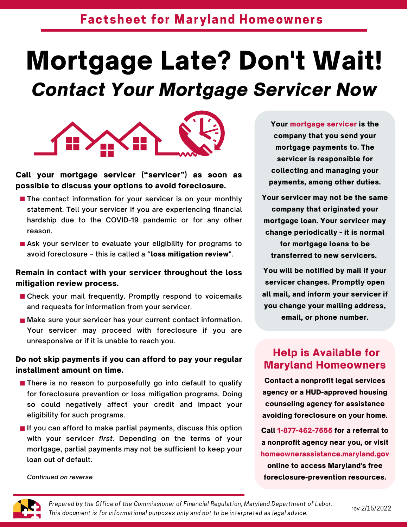# Mortgage Late? Don't Wait! *Contact Your Mortgage Servicer Now*



Call your mortgage servicer ("servicer") as soon as possible to discuss your options to avoid foreclosure.

- **The contact information for your servicer is on your monthly statement. Tell your servicer if you are experiencing financial hardship due to the COVID-19 pandemic or for any other reason.**
- **Ask your servicer to evaluate your eligibility for programs to avoid foreclosure – this is called a "**loss mitigation review**".**

#### Remain in contact with your servicer throughout the loss mitigation review process.

- **Check your mail frequently. Promptly respond to voicemails and requests for information from yourservicer.**
- **Make sure your servicer has your current contact information. Your servicer may proceed with foreclosure if you are unresponsive or if it is unable to reach you.**

#### Do not skip payments if you can afford to pay your regular installment amount on time.

- **There is no reason to purposefully go into default to qualify for foreclosure prevention or loss mitigation programs. Doing so could negatively affect your credit and impact your eligibility for such programs.**
- **If you can afford to make partial payments, discuss this option with your servicer** *first***. Depending on the terms of your mortgage, partial payments may not be sufficient to keep your loan out of default.**

Your mortgage servicer is the company that you send your mortgage payments to. The servicer is responsible for collecting and managing your payments, among other duties.

Your servicer may not be the same company that originated your mortgage loan. Your servicer may change periodically - it is normal for mortgage loans to be transferred to new servicers.

You will be notified by mail if your servicer changes. Promptly open all mail, and inform your servicer if you change your mailing address, email, or phone number.

### Help is Available for Maryland Homeowners

Contact a nonprofit legal services agency or a HUD-approved housing counseling agency for assistance avoiding foreclosure on your home.

Call 1-877-462-7555 for a referral to a nonprofit agency near you, or visit [homeownerassistance.maryland.gov](https://dhcd.maryland.gov/Residents/Pages/HomeownerAssistanceFund.aspx) online to access Maryland's free foreclosure-prevention resources.

*Continued on reverse*

Prepared by the Office of the Commissioner of Financial Regulation, Maryland Department of Labor. This document is for informational purposes only and not to be interpreted as legal advice.